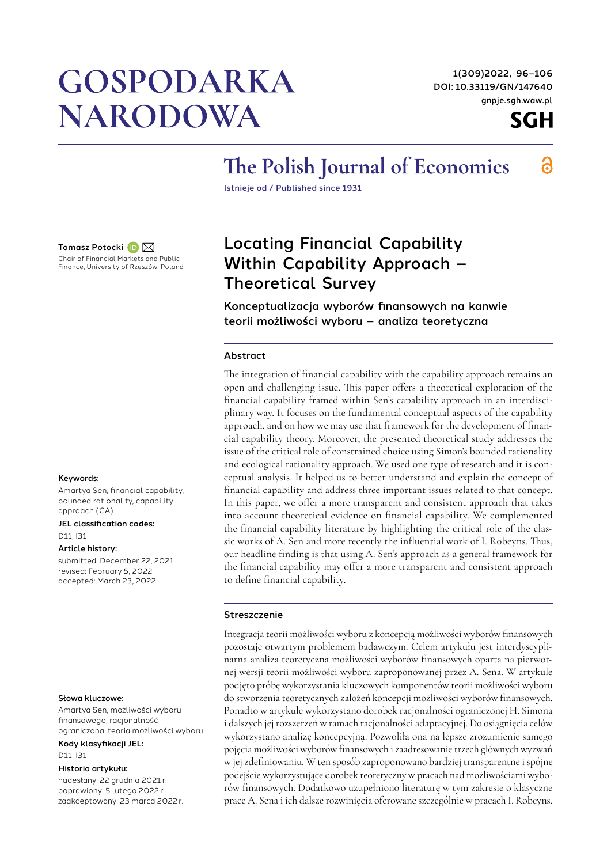# **GOSPODARKA** NARODOWA

1(309)2022, 96–106 [DOI: 10.33119/GN/147640](http://doi.org/10.33119/GN/147640) [gnpje.sgh.waw.pl](http://gnpje.sgh.waw.pl)



6

## The Polish Journal of Economics

Istnieje od / Published since 1931

Tomasz Potocki D $\boxtimes$ Chair of Financial Markets and Public Finance, University of Rzeszów, Poland

#### Keywords:

Amartya Sen, financial capability, bounded rationality, capability approach (CA)

JEL classification codes: D11, I31

#### Article history:

submitted: December 22, 2021 revised: February 5, 2022 accepted: March 23, 2022

#### Słowa kluczowe:

Amartya Sen, możliwości wyboru finansowego, racjonalność ograniczona, teoria możliwości wyboru

Kody klasyfikacji JEL: D11, I31

#### Historia artykułu:

nadesłany: 22 grudnia 2021 r. poprawiony: 5 lutego 2022 r. zaakceptowany: 23 marca 2022 r.

### Locating Financial Capability Within Capability Approach – Theoretical Survey

Konceptualizacja wyborów finansowych na kanwie teorii możliwości wyboru – analiza teoretyczna

#### Abstract

The integration of financial capability with the capability approach remains an open and challenging issue. This paper offers a theoretical exploration of the financial capability framed within Sen's capability approach in an interdisciplinary way. It focuses on the fundamental conceptual aspects of the capability approach, and on how we may use that framework for the development of financial capability theory. Moreover, the presented theoretical study addresses the issue of the critical role of constrained choice using Simon's bounded rationality and ecological rationality approach. We used one type of research and it is conceptual analysis. It helped us to better understand and explain the concept of financial capability and address three important issues related to that concept. In this paper, we offer a more transparent and consistent approach that takes into account theoretical evidence on financial capability. We complemented the financial capability literature by highlighting the critical role of the classic works of A. Sen and more recently the influential work of I. Robeyns. Thus, our headline finding is that using A. Sen's approach as a general framework for the financial capability may offer a more transparent and consistent approach to define financial capability.

#### Streszczenie

Integracja teorii możliwości wyboru z koncepcją możliwości wyborów finansowych pozostaje otwartym problemem badawczym. Celem artykułu jest interdyscyplinarna analiza teoretyczna możliwości wyborów finansowych oparta na pierwotnej wersji teorii możliwości wyboru zaproponowanej przez A. Sena. W artykule podjęto próbę wykorzystania kluczowych komponentów teorii możliwości wyboru do stworzenia teoretycznych założeń koncepcji możliwości wyborów finansowych. Ponadto w artykule wykorzystano dorobek racjonalności ograniczonej H. Simona i dalszych jej rozszerzeń w ramach racjonalności adaptacyjnej. Do osiągnięcia celów wykorzystano analizę koncepcyjną. Pozwoliła ona na lepsze zrozumienie samego pojęcia możliwości wyborów finansowych i zaadresowanie trzech głównych wyzwań w jej zdefiniowaniu. W ten sposób zaproponowano bardziej transparentne i spójne podejście wykorzystujące dorobek teoretyczny w pracach nad możliwościami wyborów finansowych. Dodatkowo uzupełniono literaturę w tym zakresie o klasyczne prace A. Sena i ich dalsze rozwinięcia oferowane szczególnie w pracach I. Robeyns.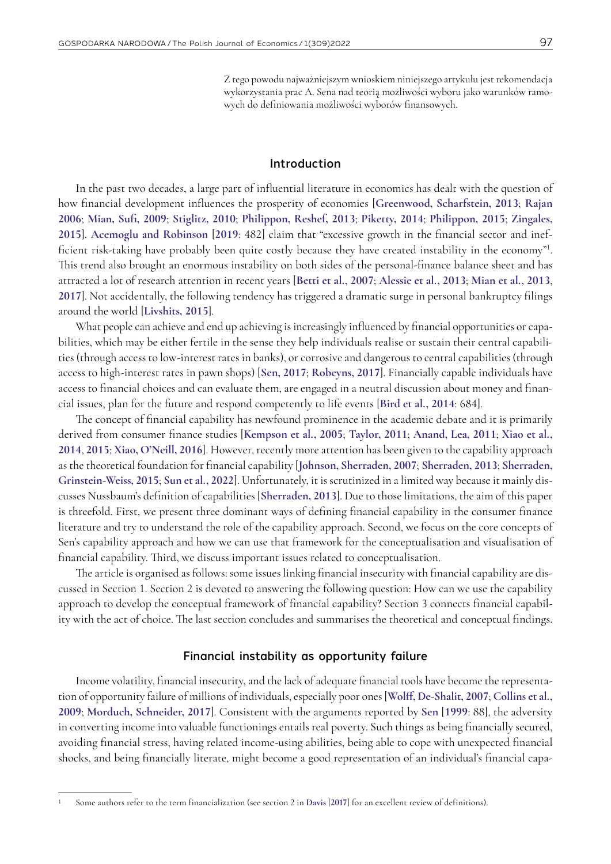Z tego powodu najważniejszym wnioskiem niniejszego artykułu jest rekomendacja wykorzystania prac A. Sena nad teorią możliwości wyboru jako warunków ramowych do definiowania możliwości wyborów finansowych.

#### Introduction

In the past two decades, a large part of influential literature in economics has dealt with the question of how financial development influences the prosperity of economies [**Greenwood, Scharfstein, 2013**; **[Rajan](#page-9-0)  [2006](#page-9-0)**; **[Mian, Sufi, 2009](#page-9-1)**; **[Stiglitz, 2010](#page-10-0)**; **[Philippon, Reshef, 2013](#page-9-2)**; **[Piketty, 2014](#page-9-3)**; **[Philippon, 2015](#page-9-4)**; **[Zingales,](#page-10-1)  [2015](#page-10-1)**]. **Acemoglu and Robinson** [**2019**: 482] claim that "excessive growth in the financial sector and inefficient risk-taking have probably been quite costly because they have created instability in the economy"1 . This trend also brought an enormous instability on both sides of the personal-finance balance sheet and has attracted a lot of research attention in recent years [**Betti et al., 2007**; **Alessie et al., 2013**; **[Mian et al., 2013](#page-9-5)**, **[2017](#page-9-6)**]. Not accidentally, the following tendency has triggered a dramatic surge in personal bankruptcy filings around the world [**[Livshits, 2015](#page-9-7)**].

What people can achieve and end up achieving is increasingly influenced by financial opportunities or capabilities, which may be either fertile in the sense they help individuals realise or sustain their central capabilities (through access to low-interest rates in banks), or corrosive and dangerous to central capabilities (through access to high-interest rates in pawn shops) [**Sen, 2017**; **[Robeyns, 2017](#page-10-2)**]. Financially capable individuals have access to financial choices and can evaluate them, are engaged in a neutral discussion about money and financial issues, plan for the future and respond competently to life events [**Bird et al., 2014**: 684].

The concept of financial capability has newfound prominence in the academic debate and it is primarily derived from consumer finance studies [**[Kempson et al., 2005](#page-9-8)**; **[Taylor, 2011](#page-10-3)**; **Anand, Lea, 2011**; **[Xiao et al.,](#page-10-4)  [2014](#page-10-4)**, **[2015](#page-10-5)**; **[Xiao, O'Neill, 2016](#page-10-6)**]. However, recently more attention has been given to the capability approach as the theoretical foundation for financial capability [**Johnson, Sherraden, 2007**; **[Sherraden, 2013](#page-10-7)**; **[Sherraden,](#page-10-8)  [Grinstein-Weiss, 2015](#page-10-8)**; **[Sun et al., 2022](#page-10-9)**]. Unfortunately, it is scrutinized in a limited way because it mainly discusses Nussbaum's definition of capabilities [**[Sherraden, 2013](#page-10-7)**]. Due to those limitations, the aim of this paper is threefold. First, we present three dominant ways of defining financial capability in the consumer finance literature and try to understand the role of the capability approach. Second, we focus on the core concepts of Sen's capability approach and how we can use that framework for the conceptualisation and visualisation of financial capability. Third, we discuss important issues related to conceptualisation.

The article is organised as follows: some issues linking financial insecurity with financial capability are discussed in Section 1. Section 2 is devoted to answering the following question: How can we use the capability approach to develop the conceptual framework of financial capability? Section 3 connects financial capability with the act of choice. The last section concludes and summarises the theoretical and conceptual findings.

#### Financial instability as opportunity failure

Income volatility, financial insecurity, and the lack of adequate financial tools have become the representation of opportunity failure of millions of individuals, especially poor ones [**[Wolff, De-Shalit, 2007](#page-10-10)**; **Collins et al., 2009**; **[Morduch, Schneider, 2017](#page-9-9)**]. Consistent with the arguments reported by **Sen** [**[1999](#page-10-11)**: 88], the adversity in converting income into valuable functionings entails real poverty. Such things as being financially secured, avoiding financial stress, having related income-using abilities, being able to cope with unexpected financial shocks, and being financially literate, might become a good representation of an individual's financial capa-

<sup>1</sup> Some authors refer to the term financialization (see section 2 in **Davis** [**2017**] for an excellent review of definitions).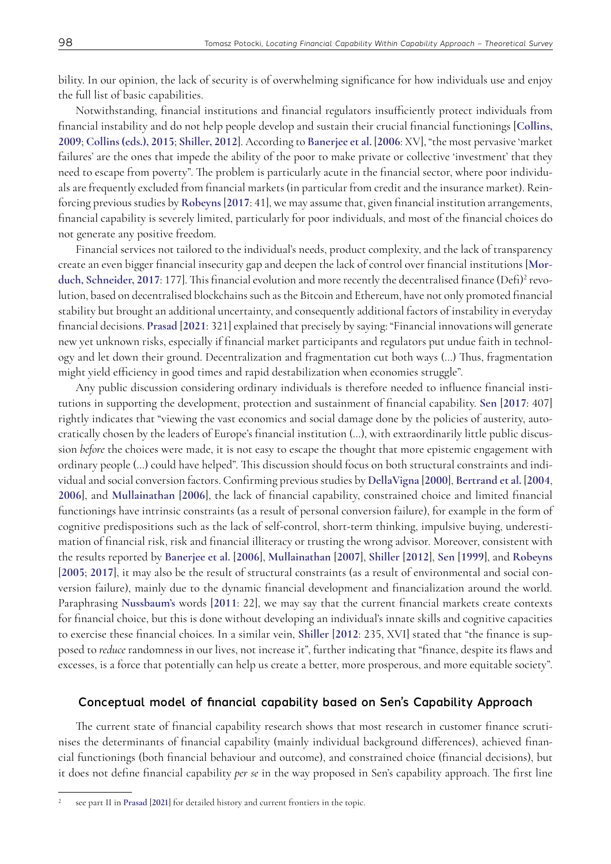bility. In our opinion, the lack of security is of overwhelming significance for how individuals use and enjoy the full list of basic capabilities.

Notwithstanding, financial institutions and financial regulators insufficiently protect individuals from financial instability and do not help people develop and sustain their crucial financial functionings [**Collins, 2009**; **Collins (eds.), 2015**; **[Shiller, 2012](#page-10-12)**]. According to **Banerjee et al.** [**2006**: XV], "the most pervasive 'market failures' are the ones that impede the ability of the poor to make private or collective 'investment' that they need to escape from poverty". The problem is particularly acute in the financial sector, where poor individuals are frequently excluded from financial markets (in particular from credit and the insurance market). Reinforcing previous studies by **[Robeyns](#page-10-2)** [**2017**: 41], we may assume that, given financial institution arrangements, financial capability is severely limited, particularly for poor individuals, and most of the financial choices do not generate any positive freedom.

Financial services not tailored to the individual's needs, product complexity, and the lack of transparency create an even bigger financial insecurity gap and deepen the lack of control over financial institutions [**[Mor](#page-9-9)**[duch, Schneider, 2017](#page-9-9): 177]. This financial evolution and more recently the decentralised finance (Defi)<sup>2</sup> revolution, based on decentralised blockchains such as the Bitcoin and Ethereum, have not only promoted financial stability but brought an additional uncertainty, and consequently additional factors of instability in everyday financial decisions. **[Prasad](#page-9-10)** [**2021**: 321] explained that precisely by saying: "Financial innovations will generate new yet unknown risks, especially if financial market participants and regulators put undue faith in technology and let down their ground. Decentralization and fragmentation cut both ways (…) Thus, fragmentation might yield efficiency in good times and rapid destabilization when economies struggle".

Any public discussion considering ordinary individuals is therefore needed to influence financial institutions in supporting the development, protection and sustainment of financial capability. **Sen** [**2017**: 407] rightly indicates that "viewing the vast economics and social damage done by the policies of austerity, autocratically chosen by the leaders of Europe's financial institution (…), with extraordinarily little public discussion *before* the choices were made, it is not easy to escape the thought that more epistemic engagement with ordinary people (…) could have helped". This discussion should focus on both structural constraints and individual and social conversion factors. Confirming previous studies by **DellaVigna** [**2000**], **Bertrand et al.** [**2004**, **2006**], and **[Mullainathan](#page-9-11)** [**2006**], the lack of financial capability, constrained choice and limited financial functionings have intrinsic constraints (as a result of personal conversion failure), for example in the form of cognitive predispositions such as the lack of self-control, short-term thinking, impulsive buying, underestimation of financial risk, risk and financial illiteracy or trusting the wrong advisor*.* Moreover, consistent with the results reported by **Banerjee et al.** [**2006**], **[Mullainathan](#page-9-12)** [**2007**], **[Shiller](#page-10-12)** [**2012**], **Sen** [**[1999](#page-10-11)**], and **[Robeyns](#page-10-13)**  [**[2005](#page-10-13)**; **[2017](#page-10-2)**], it may also be the result of structural constraints (as a result of environmental and social conversion failure), mainly due to the dynamic financial development and financialization around the world. Paraphrasing **[Nussbaum's](#page-9-13)** words [**2011**: 22], we may say that the current financial markets create contexts for financial choice, but this is done without developing an individual's innate skills and cognitive capacities to exercise these financial choices. In a similar vein, **[Shiller](#page-10-12)** [**2012**: 235, XVI] stated that "the finance is supposed to *reduce* randomness in our lives, not increase it", further indicating that "finance, despite its flaws and excesses, is a force that potentially can help us create a better, more prosperous, and more equitable society".

#### Conceptual model of financial capability based on Sen's Capability Approach

The current state of financial capability research shows that most research in customer finance scrutinises the determinants of financial capability (mainly individual background differences), achieved financial functionings (both financial behaviour and outcome), and constrained choice (financial decisions), but it does not define financial capability *per se* in the way proposed in Sen's capability approach. The first line

<sup>2</sup> see part II in **[Prasad](#page-9-10)** [**2021**] for detailed history and current frontiers in the topic.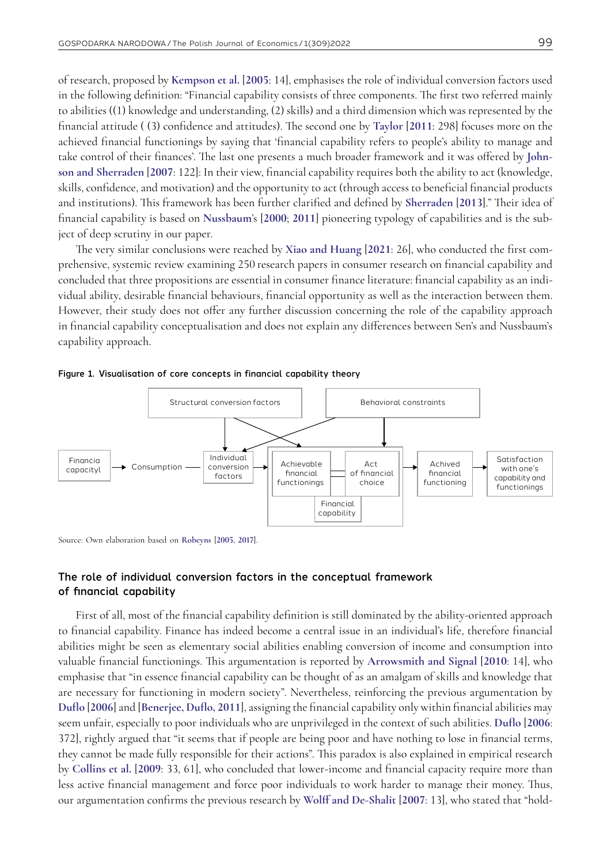of research, proposed by **[Kempson et al.](#page-9-8)** [**2005**: 14], emphasises the role of individual conversion factors used in the following definition: "Financial capability consists of three components. The first two referred mainly to abilities ((1) knowledge and understanding, (2) skills) and a third dimension which was represented by the financial attitude ( (3) confidence and attitudes). The second one by **[Taylor](#page-10-3)** [**2011**: 298] focuses more on the achieved financial functionings by saying that 'financial capability refers to people's ability to manage and take control of their finances'. The last one presents a much broader framework and it was offered by **Johnson and Sherraden** [**2007**: 122]: In their view, financial capability requires both the ability to act (knowledge, skills, confidence, and motivation) and the opportunity to act (through access to beneficial financial products and institutions). This framework has been further clarified and defined by **[Sherraden](#page-10-7)** [**2013**]." Their idea of financial capability is based on **[Nussbaum](#page-9-14)**'s [**2000**; **[2011](#page-9-13)**] pioneering typology of capabilities and is the subject of deep scrutiny in our paper.

The very similar conclusions were reached by **[Xiao and Huang](#page-10-14)** [**2021**: 26], who conducted the first comprehensive, systemic review examining 250 research papers in consumer research on financial capability and concluded that three propositions are essential in consumer finance literature: financial capability as an individual ability, desirable financial behaviours, financial opportunity as well as the interaction between them. However, their study does not offer any further discussion concerning the role of the capability approach in financial capability conceptualisation and does not explain any differences between Sen's and Nussbaum's capability approach.





Source: Own elaboration based on **[Robeyns](#page-10-13)** [**2005**, **[2017](#page-10-2)**].

#### The role of individual conversion factors in the conceptual framework of financial capability

First of all, most of the financial capability definition is still dominated by the ability-oriented approach to financial capability. Finance has indeed become a central issue in an individual's life, therefore financial abilities might be seen as elementary social abilities enabling conversion of income and consumption into valuable financial functionings. This argumentation is reported by **Arrowsmith and Signal** [**2010**: 14], who emphasise that "in essence financial capability can be thought of as an amalgam of skills and knowledge that are necessary for functioning in modern society". Nevertheless, reinforcing the previous argumentation by **Duflo** [**2006**] and [**Benerjee, Duflo, 2011**], assigning the financial capability only within financial abilities may seem unfair, especially to poor individuals who are unprivileged in the context of such abilities. **Duflo** [**2006**: 372], rightly argued that "it seems that if people are being poor and have nothing to lose in financial terms, they cannot be made fully responsible for their actions". This paradox is also explained in empirical research by **Collins et al.** [**2009**: 33, 61], who concluded that lower-income and financial capacity require more than less active financial management and force poor individuals to work harder to manage their money. Thus, our argumentation confirms the previous research by **[Wolff and De-Shalit](#page-10-10)** [**2007**: 13], who stated that "hold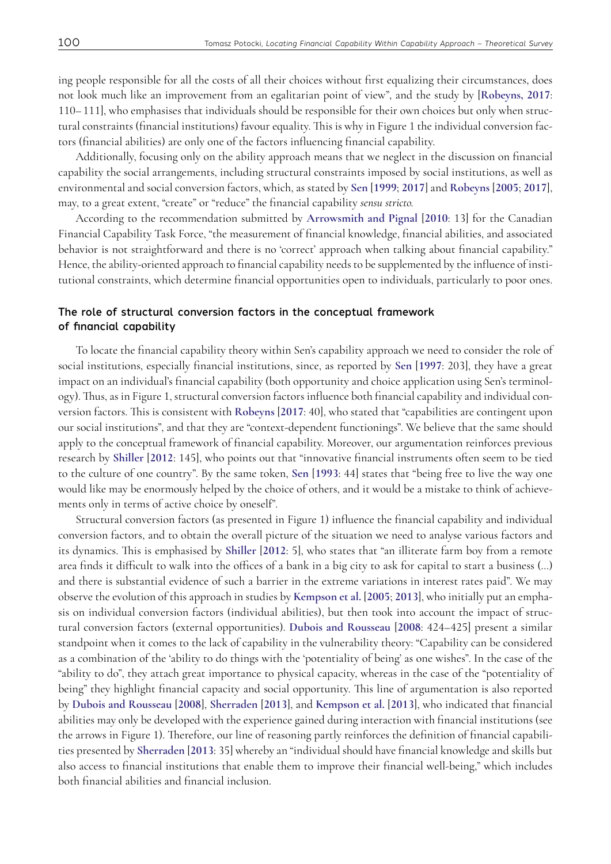ing people responsible for all the costs of all their choices without first equalizing their circumstances, does not look much like an improvement from an egalitarian point of view", and the study by [**[Robeyns, 2017](#page-10-2)**: 110– 111], who emphasises that individuals should be responsible for their own choices but only when structural constraints (financial institutions) favour equality. This is why in Figure 1 the individual conversion factors (financial abilities) are only one of the factors influencing financial capability.

Additionally, focusing only on the ability approach means that we neglect in the discussion on financial capability the social arrangements, including structural constraints imposed by social institutions, as well as environmental and social conversion factors, which, as stated by **Sen** [**[1999](#page-10-11)**; **2017**] and **[Robeyns](#page-10-13)** [**2005**; **[2017](#page-10-2)**], may, to a great extent, "create" or "reduce" the financial capability *sensu stricto.*

According to the recommendation submitted by **Arrowsmith and Pignal** [**2010**: 13] for the Canadian Financial Capability Task Force, "the measurement of financial knowledge, financial abilities, and associated behavior is not straightforward and there is no 'correct' approach when talking about financial capability." Hence, the ability-oriented approach to financial capability needs to be supplemented by the influence of institutional constraints, which determine financial opportunities open to individuals, particularly to poor ones.

#### The role of structural conversion factors in the conceptual framework of financial capability

To locate the financial capability theory within Sen's capability approach we need to consider the role of social institutions, especially financial institutions, since, as reported by **Sen** [**[1997](#page-10-15)**: 203], they have a great impact on an individual's financial capability (both opportunity and choice application using Sen's terminology). Thus, as in Figure 1, structural conversion factors influence both financial capability and individual conversion factors. This is consistent with **[Robeyns](#page-10-2)** [**2017**: 40], who stated that "capabilities are contingent upon our social institutions", and that they are "context-dependent functionings". We believe that the same should apply to the conceptual framework of financial capability. Moreover, our argumentation reinforces previous research by **[Shiller](#page-10-12)** [**2012**: 145], who points out that "innovative financial instruments often seem to be tied to the culture of one country". By the same token, **Sen** [**[1993](#page-10-16)**: 44] states that "being free to live the way one would like may be enormously helped by the choice of others, and it would be a mistake to think of achievements only in terms of active choice by oneself".

Structural conversion factors (as presented in Figure 1) influence the financial capability and individual conversion factors, and to obtain the overall picture of the situation we need to analyse various factors and its dynamics. This is emphasised by **[Shiller](#page-10-12)** [**2012**: 5], who states that "an illiterate farm boy from a remote area finds it difficult to walk into the offices of a bank in a big city to ask for capital to start a business (…) and there is substantial evidence of such a barrier in the extreme variations in interest rates paid". We may observe the evolution of this approach in studies by **[Kempson et al.](#page-9-8)** [**2005**; **[2013](#page-9-15)**], who initially put an emphasis on individual conversion factors (individual abilities), but then took into account the impact of structural conversion factors (external opportunities). **Dubois and Rousseau** [**2008**: 424–425] present a similar standpoint when it comes to the lack of capability in the vulnerability theory: "Capability can be considered as a combination of the 'ability to do things with the 'potentiality of being' as one wishes". In the case of the "ability to do", they attach great importance to physical capacity, whereas in the case of the "potentiality of being" they highlight financial capacity and social opportunity. This line of argumentation is also reported by **Dubois and Rousseau** [**2008**], **[Sherraden](#page-10-7)** [**2013**], and **[Kempson et al.](#page-9-15)** [**2013**], who indicated that financial abilities may only be developed with the experience gained during interaction with financial institutions (see the arrows in Figure 1). Therefore, our line of reasoning partly reinforces the definition of financial capabilities presented by **[Sherraden](#page-10-7)** [**2013**: 35] whereby an "individual should have financial knowledge and skills but also access to financial institutions that enable them to improve their financial well-being," which includes both financial abilities and financial inclusion.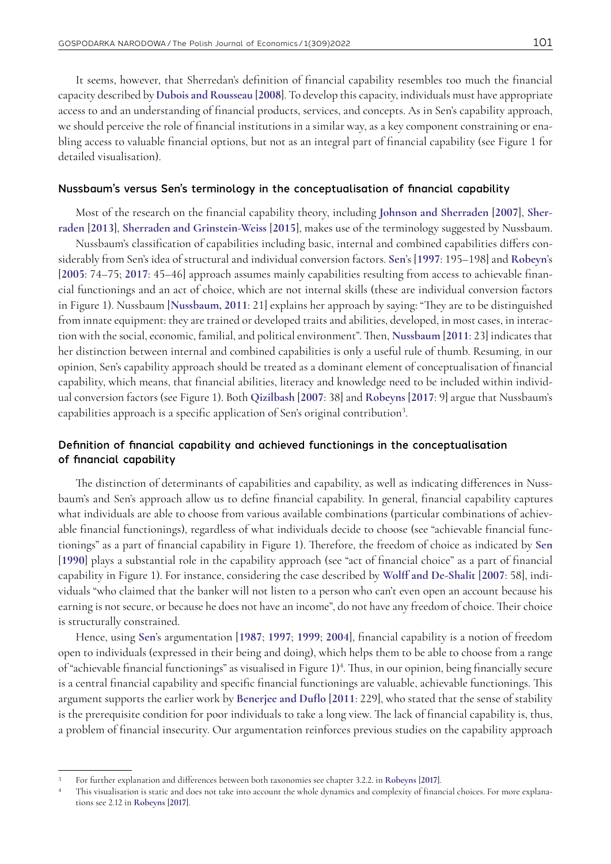It seems, however, that Sherredan's definition of financial capability resembles too much the financial capacity described by **Dubois and Rousseau** [**2008**]. To develop this capacity, individuals must have appropriate access to and an understanding of financial products, services, and concepts. As in Sen's capability approach, we should perceive the role of financial institutions in a similar way, as a key component constraining or enabling access to valuable financial options, but not as an integral part of financial capability (see Figure 1 for detailed visualisation).

#### Nussbaum's versus Sen's terminology in the conceptualisation of financial capability

Most of the research on the financial capability theory, including **Johnson and Sherraden** [**2007**], **[Sher](#page-10-7)[raden](#page-10-7)** [**2013**], **[Sherraden and Grinstein-Weiss](#page-10-8)** [**2015**], makes use of the terminology suggested by Nussbaum.

Nussbaum's classification of capabilities including basic, internal and combined capabilities differs considerably from Sen's idea of structural and individual conversion factors. **Sen**'s [**[1997](#page-10-15)**: 195–198] and **[Robeyn](#page-10-13)**'s [**[2005](#page-10-13)**: 74–75; **[2017](#page-10-2)**: 45–46] approach assumes mainly capabilities resulting from access to achievable financial functionings and an act of choice, which are not internal skills (these are individual conversion factors in Figure 1). Nussbaum [**[Nussbaum, 2011](#page-9-13)**: 21] explains her approach by saying: "They are to be distinguished from innate equipment: they are trained or developed traits and abilities, developed, in most cases, in interaction with the social, economic, familial, and political environment". Then, **[Nussbaum](#page-9-13)** [**2011**: 23] indicates that her distinction between internal and combined capabilities is only a useful rule of thumb. Resuming, in our opinion, Sen's capability approach should be treated as a dominant element of conceptualisation of financial capability, which means, that financial abilities, literacy and knowledge need to be included within individual conversion factors (see Figure 1). Both **[Qizilbash](#page-9-16)** [**2007**: 38] and **[Robeyns](#page-10-2)** [**2017**: 9] argue that Nussbaum's capabilities approach is a specific application of Sen's original contribution3 .

#### Definition of financial capability and achieved functionings in the conceptualisation of financial capability

The distinction of determinants of capabilities and capability, as well as indicating differences in Nussbaum's and Sen's approach allow us to define financial capability. In general, financial capability captures what individuals are able to choose from various available combinations (particular combinations of achievable financial functionings), regardless of what individuals decide to choose (see "achievable financial functionings" as a part of financial capability in Figure 1). Therefore, the freedom of choice as indicated by **[Sen](#page-10-17)**  [**[1990](#page-10-17)**] plays a substantial role in the capability approach (see "act of financial choice" as a part of financial capability in Figure 1). For instance, considering the case described by **[Wolff and De-Shalit](#page-10-10)** [**2007**: 58], individuals "who claimed that the banker will not listen to a person who can't even open an account because his earning is not secure, or because he does not have an income", do not have any freedom of choice. Their choice is structurally constrained.

Hence, using **Sen**['s argumentation \[](#page-10-18)**1987**; **[1997](#page-10-15)**; **[1999](#page-10-11)**; **[2004](#page-10-19)**], financial capability is a notion of freedom open to individuals (expressed in their being and doing), which helps them to be able to choose from a range of "achievable financial functionings" as visualised in Figure 1)4 . Thus, in our opinion, being financially secure is a central financial capability and specific financial functionings are valuable, achievable functionings. This argument supports the earlier work by **Benerjee and Duflo** [**2011**: 229], who stated that the sense of stability is the prerequisite condition for poor individuals to take a long view. The lack of financial capability is, thus, a problem of financial insecurity. Our argumentation reinforces previous studies on the capability approach

<sup>3</sup> For further explanation and differences between both taxonomies see chapter 3.2.2. in **[Robeyns](#page-10-2)** [**2017**].

<sup>4</sup> This visualisation is static and does not take into account the whole dynamics and complexity of financial choices. For more explanations see 2.12 in **[Robeyns](#page-10-2)** [**2017**].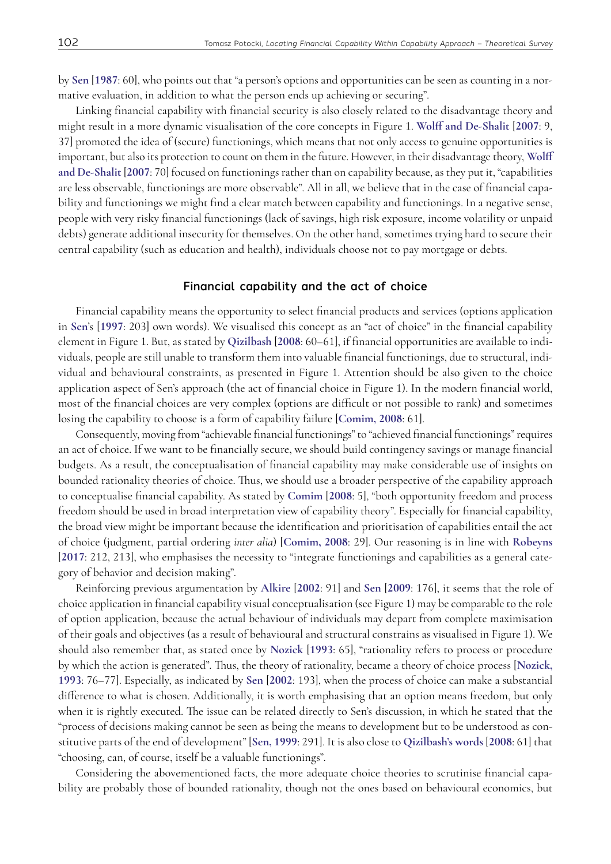by **Sen** [**[1987](#page-10-18)**: 60], who points out that "a person's options and opportunities can be seen as counting in a normative evaluation, in addition to what the person ends up achieving or securing".

Linking financial capability with financial security is also closely related to the disadvantage theory and might result in a more dynamic visualisation of the core concepts in Figure 1. **[Wolff and De-Shalit](#page-10-10)** [**2007**: 9, 37] promoted the idea of (secure) functionings, which means that not only access to genuine opportunities is important, but also its protection to count on them in the future. However, in their disadvantage theory, **[Wolff](#page-10-10)  [and De-Shalit](#page-10-10)** [**2007**: 70] focused on functionings rather than on capability because, as they put it, "capabilities are less observable, functionings are more observable". All in all, we believe that in the case of financial capability and functionings we might find a clear match between capability and functionings. In a negative sense, people with very risky financial functionings (lack of savings, high risk exposure, income volatility or unpaid debts) generate additional insecurity for themselves. On the other hand, sometimes trying hard to secure their central capability (such as education and health), individuals choose not to pay mortgage or debts.

#### Financial capability and the act of choice

Financial capability means the opportunity to select financial products and services (options application in **Sen**'s [**[1997](#page-10-15)**: 203] own words). We visualised this concept as an "act of choice" in the financial capability element in Figure 1. But, as stated by **[Qizilbash](#page-9-16)** [**2008**: 60–61], if financial opportunities are available to individuals, people are still unable to transform them into valuable financial functionings, due to structural, individual and behavioural constraints, as presented in Figure 1. Attention should be also given to the choice application aspect of Sen's approach (the act of financial choice in Figure 1). In the modern financial world, most of the financial choices are very complex (options are difficult or not possible to rank) and sometimes losing the capability to choose is a form of capability failure [**Comim, 2008**: 61].

Consequently, moving from "achievable financial functionings" to "achieved financial functionings" requires an act of choice. If we want to be financially secure, we should build contingency savings or manage financial budgets. As a result, the conceptualisation of financial capability may make considerable use of insights on bounded rationality theories of choice. Thus, we should use a broader perspective of the capability approach to conceptualise financial capability. As stated by **Comim** [**2008**: 5], "both opportunity freedom and process freedom should be used in broad interpretation view of capability theory". Especially for financial capability, the broad view might be important because the identification and prioritisation of capabilities entail the act of choice (judgment, partial ordering *inter alia*) [**Comim, 2008**: 29]. Our reasoning is in line with **[Robeyns](#page-10-2)**  [**[2017](#page-10-2)**: 212, 213], who emphasises the necessity to "integrate functionings and capabilities as a general category of behavior and decision making".

Reinforcing previous argumentation by **Alkire** [**2002**: 91] and **Sen** [**[2009](#page-10-20)**: 176], it seems that the role of choice application in financial capability visual conceptualisation (see Figure 1) may be comparable to the role of option application, because the actual behaviour of individuals may depart from complete maximisation of their goals and objectives (as a result of behavioural and structural constrains as visualised in Figure 1). We should also remember that, as stated once by **[Nozick](#page-9-17)** [**1993**: 65], "rationality refers to process or procedure by which the action is generated". Thus, the theory of rationality, became a theory of choice process [**[Nozick,](#page-9-17)  [1993](#page-9-17)**: 76–77]. Especially, as indicated by **Sen** [**[2002](#page-10-21)**: 193], when the process of choice can make a substantial difference to what is chosen. Additionally, it is worth emphasising that an option means freedom, but only when it is rightly executed. The issue can be related directly to Sen's discussion, in which he stated that the "process of decisions making cannot be seen as being the means to development but to be understood as constitutive parts of the end of development" [**[Sen, 1999](#page-10-11)**: 291]. It is also close to **[Qizilbash's words](#page-9-16)** [**2008**: 61] that "choosing, can, of course, itself be a valuable functionings".

Considering the abovementioned facts, the more adequate choice theories to scrutinise financial capability are probably those of bounded rationality, though not the ones based on behavioural economics, but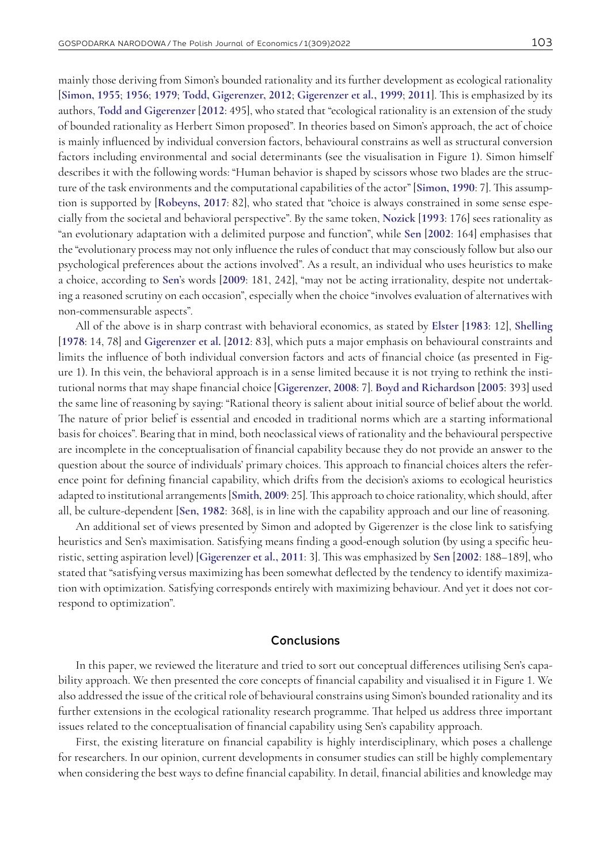mainly those deriving from Simon's bounded rationality and its further development as ecological rationality [**[Simon, 1955](#page-10-22)**; **[1956](#page-10-23)**; **[1979](#page-10-24)**; **[Todd, Gigerenzer, 2012](#page-10-25)**; **Gigerenzer et al., 1999**; **2011**]. This is emphasized by its authors, **[Todd and Gigerenzer](#page-10-25)** [**2012**: 495], who stated that "ecological rationality is an extension of the study of bounded rationality as Herbert Simon proposed". In theories based on Simon's approach, the act of choice is mainly influenced by individual conversion factors, behavioural constrains as well as structural conversion factors including environmental and social determinants (see the visualisation in Figure 1). Simon himself describes it with the following words: "Human behavior is shaped by scissors whose two blades are the structure of the task environments and the computational capabilities of the actor" [**[Simon, 1990](#page-10-0)**: 7]. This assumption is supported by [**[Robeyns, 2017](#page-10-2)**: 82], who stated that "choice is always constrained in some sense especially from the societal and behavioral perspective". By the same token, **[Nozick](#page-9-17)** [**1993**: 176] sees rationality as "an evolutionary adaptation with a delimited purpose and function", while **Sen** [**[2002](#page-10-21)**: 164] emphasises that the "evolutionary process may not only influence the rules of conduct that may consciously follow but also our psychological preferences about the actions involved". As a result, an individual who uses heuristics to make a choice, according to **Sen**['s words \[](#page-10-20)**2009**: 181, 242], "may not be acting irrationality, despite not undertaking a reasoned scrutiny on each occasion", especially when the choice "involves evaluation of alternatives with non-commensurable aspects".

All of the above is in sharp contrast with behavioral economics, as stated by **Elster** [**1983**: 12], **Shelling**  [**1978**: 14, 78] and **Gigerenzer et al.** [**2012**: 83], which puts a major emphasis on behavioural constraints and limits the influence of both individual conversion factors and acts of financial choice (as presented in Figure 1). In this vein, the behavioral approach is in a sense limited because it is not trying to rethink the institutional norms that may shape financial choice [**Gigerenzer, 2008**: 7]. **Boyd and Richardson** [**2005**: 393] used the same line of reasoning by saying: "Rational theory is salient about initial source of belief about the world. The nature of prior belief is essential and encoded in traditional norms which are a starting informational basis for choices". Bearing that in mind, both neoclassical views of rationality and the behavioural perspective are incomplete in the conceptualisation of financial capability because they do not provide an answer to the question about the source of individuals' primary choices. This approach to financial choices alters the reference point for defining financial capability, which drifts from the decision's axioms to ecological heuristics adapted to institutional arrangements [**[Smith, 2009](#page-10-26)**: 25]. This approach to choice rationality, which should, after all, be culture-dependent [**[Sen, 1982](#page-10-27)**: 368], is in line with the capability approach and our line of reasoning.

An additional set of views presented by Simon and adopted by Gigerenzer is the close link to satisfying heuristics and Sen's maximisation. Satisfying means finding a good-enough solution (by using a specific heuristic, setting aspiration level) [**Gigerenzer et al., 2011**: 3]. This was emphasized by **Sen** [**[2002](#page-10-21)**: 188–189], who stated that "satisfying versus maximizing has been somewhat deflected by the tendency to identify maximization with optimization. Satisfying corresponds entirely with maximizing behaviour. And yet it does not correspond to optimization".

#### Conclusions

In this paper, we reviewed the literature and tried to sort out conceptual differences utilising Sen's capability approach. We then presented the core concepts of financial capability and visualised it in Figure 1. We also addressed the issue of the critical role of behavioural constrains using Simon's bounded rationality and its further extensions in the ecological rationality research programme. That helped us address three important issues related to the conceptualisation of financial capability using Sen's capability approach.

First, the existing literature on financial capability is highly interdisciplinary, which poses a challenge for researchers. In our opinion, current developments in consumer studies can still be highly complementary when considering the best ways to define financial capability. In detail, financial abilities and knowledge may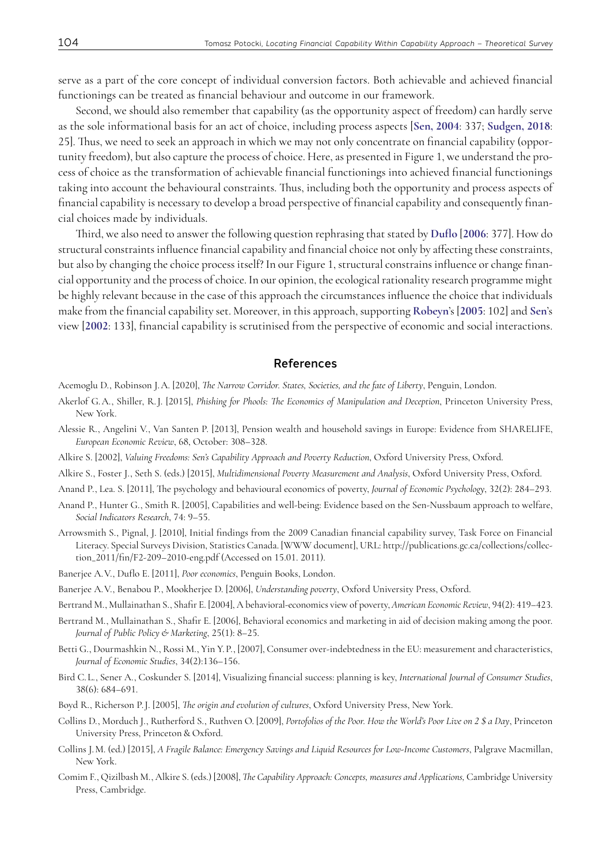serve as a part of the core concept of individual conversion factors. Both achievable and achieved financial functionings can be treated as financial behaviour and outcome in our framework.

Second, we should also remember that capability (as the opportunity aspect of freedom) can hardly serve as the sole informational basis for an act of choice, including process aspects [**[Sen, 2004](#page-10-19)**: 337; **[Sudgen, 2018](#page-10-28)**: 25]. Thus, we need to seek an approach in which we may not only concentrate on financial capability (opportunity freedom), but also capture the process of choice. Here, as presented in Figure 1, we understand the process of choice as the transformation of achievable financial functionings into achieved financial functionings taking into account the behavioural constraints. Thus, including both the opportunity and process aspects of financial capability is necessary to develop a broad perspective of financial capability and consequently financial choices made by individuals.

Third, we also need to answer the following question rephrasing that stated by **Duflo** [**2006**: 377]. How do structural constraints influence financial capability and financial choice not only by affecting these constraints, but also by changing the choice process itself? In our Figure 1, structural constrains influence or change financial opportunity and the process of choice. In our opinion, the ecological rationality research programme might be highly relevant because in the case of this approach the circumstances influence the choice that individuals make from the financial capability set. Moreover, in this approach, supporting **[Robeyn](#page-10-13)**'s [**2005**: 102] and **[Sen](#page-10-21)**'s [view \[](#page-10-21)**2002**: 133], financial capability is scrutinised from the perspective of economic and social interactions.

#### References

- Acemoglu D., Robinson J. A. [2020], *The Narrow Corridor. States, Societies, and the fate of Liberty*, Penguin, London.
- Akerlof G. A., Shiller, R. J. [2015], *Phishing for Phools: The Economics of Manipulation and Deception*, Princeton University Press, New York.
- Alessie R., Angelini V., Van Santen P. [2013], Pension wealth and household savings in Europe: Evidence from SHARELIFE, *European Economic Review*, 68, October: 308–328.
- Alkire S. [2002], *Valuing Freedoms: Sen's Capability Approach and Poverty Reduction*, Oxford University Press, Oxford.
- Alkire S., Foster J., Seth S. (eds.) [2015], *Multidimensional Poverty Measurement and Analysis*, Oxford University Press, Oxford.

Anand P., Lea. S. [2011], The psychology and behavioural economics of poverty, *Journal of Economic Psychology*, 32(2): 284–293.

- Anand P., Hunter G., Smith R. [2005], Capabilities and well-being: Evidence based on the Sen-Nussbaum approach to welfare, *Social Indicators Research*, 74: 9–55.
- Arrowsmith S., Pignal, J. [2010], Initial findings from the 2009 Canadian financial capability survey, Task Force on Financial Literacy. Special Surveys Division, Statistics Canada. [WWW document], URL: http://publications.gc.ca/collections/collection\_2011/fin/F2-209–2010‑eng.pdf (Accessed on 15.01. 2011).
- Banerjee A. V., Duflo E. [2011], *Poor economics*, Penguin Books, London.
- Banerjee A. V., Benabou P., Mookherjee D. [2006], *Understanding poverty*, Oxford University Press, Oxford.
- Bertrand M., Mullainathan S., Shafir E. [2004], A behavioral-economics view of poverty, *American Economic Review*, 94(2): 419–423.
- Bertrand M., Mullainathan S., Shafir E. [2006], Behavioral economics and marketing in aid of decision making among the poor. *Journal of Public Policy & Marketing*, 25(1): 8–25.
- Betti G., Dourmashkin N., Rossi M., Yin Y. P., [2007], Consumer over-indebtedness in the EU: measurement and characteristics, *Journal of Economic Studies*, 34(2):136–156.
- Bird C. L., Sener A., Coskunder S. [2014], Visualizing financial success: planning is key, *International Journal of Consumer Studies*, 38(6): 684–691.
- Boyd R., Richerson P. J. [2005], *The origin and evolution of cultures*, Oxford University Press, New York.
- Collins D., Morduch J., Rutherford S., Ruthven O. [2009], *Portofolios of the Poor. How the World's Poor Live on 2 \$ a Day*, Princeton University Press, Princeton & Oxford.
- Collins J. M. (ed.) [2015], *A Fragile Balance: Emergency Savings and Liquid Resources for Low-Income Customers*, Palgrave Macmillan, New York.
- Comim F., Qizilbash M., Alkire S. (eds.) [2008], *The Capability Approach: Concepts, measures and Applications,* Cambridge University Press, Cambridge.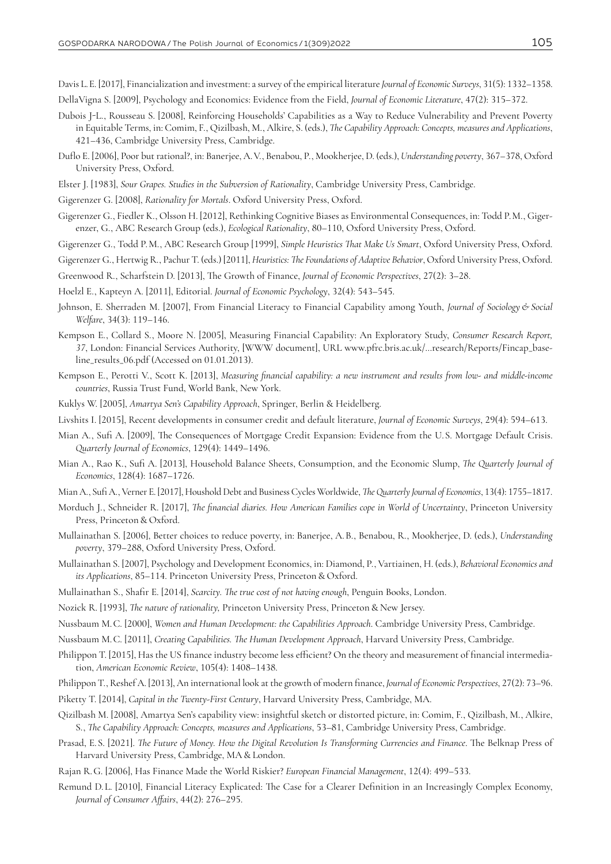Davis L. E. [2017], Financialization and investment: a survey of the empirical literature *Journal of Economic Surveys*, 31(5): 1332–1358.

- DellaVigna S. [2009], Psychology and Economics: Evidence from the Field, *Journal of Economic Literature*, 47(2): 315–372.
- Dubois J-L., Rousseau S. [2008], Reinforcing Households' Capabilities as a Way to Reduce Vulnerability and Prevent Poverty in Equitable Terms, in: Comim, F., Qizilbash, M., Alkire, S. (eds.), *The Capability Approach: Concepts, measures and Applications*, 421–436, Cambridge University Press, Cambridge.
- Duflo E. [2006], Poor but rational?, in: Banerjee, A. V., Benabou, P., Mookherjee, D. (eds.), *Understanding poverty*, 367–378, Oxford University Press, Oxford.
- Elster J. [1983], *Sour Grapes. Studies in the Subversion of Rationality*, Cambridge University Press, Cambridge.
- Gigerenzer G. [2008], *Rationality for Mortals*. Oxford University Press, Oxford.
- Gigerenzer G., Fiedler K., Olsson H. [2012], Rethinking Cognitive Biases as Environmental Consequences, in: Todd P. M., Gigerenzer, G., ABC Research Group (eds.), *Ecological Rationality*, 80–110, Oxford University Press, Oxford.
- Gigerenzer G., Todd P. M., ABC Research Group [1999], *Simple Heuristics That Make Us Smart*, Oxford University Press, Oxford.
- Gigerenzer G., Hertwig R., Pachur T. (eds.) [2011], *Heuristics: The Foundations of Adaptive Behavior*, Oxford University Press, Oxford.
- Greenwood R., Scharfstein D. [2013], The Growth of Finance, *Journal of Economic Perspectives*, 27(2): 3–28.
- Hoelzl E., Kapteyn A. [2011], Editorial. *Journal of Economic Psychology*, 32(4): 543–545.
- Johnson, E. Sherraden M. [2007], From Financial Literacy to Financial Capability among Youth, *Journal of Sociology & Social Welfare*, 34(3): 119–146.
- <span id="page-9-8"></span>Kempson E., Collard S., Moore N. [2005], Measuring Financial Capability: An Exploratory Study, *Consumer Research Report, 37*, London: Financial Services Authority, [WWW document], URL www.pfrc.bris.ac.uk/…research/Reports/Fincap\_baseline\_results\_06.pdf (Accessed on 01.01.2013).
- <span id="page-9-15"></span>Kempson E., Perotti V., Scott K. [2013], *Measuring financial capability: a new instrument and results from low- and middle-income countries*, Russia Trust Fund, World Bank, New York.
- Kuklys W. [2005], *Amartya Sen's Capability Approach*, Springer, Berlin & Heidelberg.
- <span id="page-9-7"></span>Livshits I. [2015], Recent developments in consumer credit and default literature, *Journal of Economic Surveys*, 29(4): 594–613.
- <span id="page-9-1"></span>Mian A., Sufi A. [2009], The Consequences of Mortgage Credit Expansion: Evidence from the U. S. Mortgage Default Crisis. *Quarterly Journal of Economics*, 129(4): 1449–1496.
- <span id="page-9-5"></span>Mian A., Rao K., Sufi A. [2013], Household Balance Sheets, Consumption, and the Economic Slump, *The Quarterly Journal of Economics*, 128(4): 1687–1726.
- <span id="page-9-6"></span>Mian A., Sufi A., Verner E. [2017], Houshold Debt and Business Cycles Worldwide, *The Quarterly Journal of Economics*, 13(4): 1755–1817.
- <span id="page-9-9"></span>Morduch J., Schneider R. [2017], *The financial diaries. How American Families cope in World of Uncertainty*, Princeton University Press, Princeton & Oxford.
- <span id="page-9-11"></span>Mullainathan S. [2006], Better choices to reduce poverty, in: Banerjee, A. B., Benabou, R., Mookherjee, D. (eds.), *Understanding poverty*, 379–288, Oxford University Press, Oxford.
- <span id="page-9-12"></span>Mullainathan S. [2007], Psychology and Development Economics, in: Diamond, P., Vartiainen, H. (eds.), *Behavioral Economics and*  its Applications, 85-114. Princeton University Press, Princeton & Oxford.
- Mullainathan S., Shafir E. [2014], *Scarcity. The true cost of not having enough*, Penguin Books, London.
- <span id="page-9-17"></span>Nozick R. [1993], *The nature of rationality*, Princeton University Press, Princeton & New Jersey.
- <span id="page-9-14"></span>Nussbaum M. C. [2000], *Women and Human Development: the Capabilities Approach*. Cambridge University Press, Cambridge.
- <span id="page-9-13"></span>Nussbaum M. C. [2011], *Creating Capabilities. The Human Development Approach*, Harvard University Press, Cambridge.
- <span id="page-9-4"></span>Philippon T. [2015], Has the US finance industry become less efficient? On the theory and measurement of financial intermediation, *American Economic Review*, 105(4): 1408–1438.
- <span id="page-9-2"></span>Philippon T., Reshef A. [2013], An international look at the growth of modern finance, *Journal of Economic Perspectives*, 27(2): 73–96.
- <span id="page-9-3"></span>Piketty T. [2014], *Capital in the Twenty-First Century*, Harvard University Press, Cambridge, MA.
- <span id="page-9-16"></span>Qizilbash M. [2008], Amartya Sen's capability view: insightful sketch or distorted picture, in: Comim, F., Qizilbash, M., Alkire, S., *The Capability Approach: Concepts, measures and Applications*, 53–81, Cambridge University Press, Cambridge.
- <span id="page-9-10"></span>Prasad, E. S. [2021]. *The Future of Money. How the Digital Revolution Is Transforming Currencies and Finance*. The Belknap Press of Harvard University Press, Cambridge, MA & London.
- <span id="page-9-0"></span>Rajan R. G. [2006], Has Finance Made the World Riskier? *European Financial Management*, 12(4): 499–533.
- Remund D.L. [2010], Financial Literacy Explicated: The Case for a Clearer Definition in an Increasingly Complex Economy, *Journal of Consumer Affairs*, 44(2): 276–295.